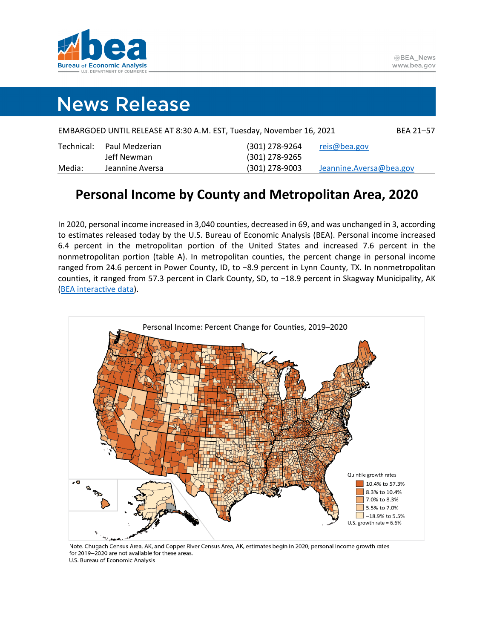

# **News Release**

| (301) 278-9264<br>Paul Medzerian<br>Technical: | reis@bea.gov            |
|------------------------------------------------|-------------------------|
| (301) 278-9265<br>Jeff Newman                  |                         |
| $(301)$ 278-9003<br>Media:<br>Jeannine Aversa  | Jeannine.Aversa@bea.gov |

## **Personal Income by County and Metropolitan Area, 2020**

In 2020, personal income increased in 3,040 counties, decreased in 69, and was unchanged in 3, according to estimates released today by the U.S. Bureau of Economic Analysis (BEA). Personal income increased 6.4 percent in the metropolitan portion of the United States and increased 7.6 percent in the nonmetropolitan portion (table A). In metropolitan counties, the percent change in personal income ranged from 24.6 percent in Power County, ID, to −8.9 percent in Lynn County, TX. In nonmetropolitan counties, it ranged from 57.3 percent in Clark County, SD, to −18.9 percent in Skagway Municipality, AK [\(BEA interactive data\)](https://apps.bea.gov/iTable/index_regional.cfm).



Note. Chugach Census Area, AK, and Copper River Census Area, AK, estimates begin in 2020; personal income growth rates for 2019-2020 are not available for these areas. U.S. Bureau of Economic Analysis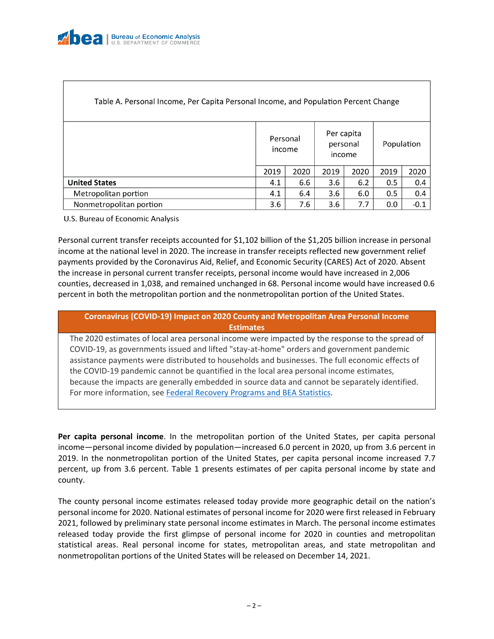| Table A. Personal Income, Per Capita Personal Income, and Population Percent Change |                    |      |                                  |      |            |        |  |
|-------------------------------------------------------------------------------------|--------------------|------|----------------------------------|------|------------|--------|--|
|                                                                                     | Personal<br>income |      | Per capita<br>personal<br>income |      | Population |        |  |
|                                                                                     | 2019               | 2020 | 2019                             | 2020 | 2019       | 2020   |  |
| <b>United States</b>                                                                | 4.1                | 6.6  | 3.6                              | 6.2  | 0.5        | 0.4    |  |
| Metropolitan portion                                                                | 4.1                | 6.4  | 3.6                              | 6.0  | 0.5        | 0.4    |  |
| Nonmetropolitan portion                                                             | 3.6                | 7.6  | 3.6                              | 7.7  | 0.0        | $-0.1$ |  |

U.S. Bureau of Economic Analysis

Personal current transfer receipts accounted for \$1,102 billion of the \$1,205 billion increase in personal income at the national level in 2020. The increase in transfer receipts reflected new government relief payments provided by the Coronavirus Aid, Relief, and Economic Security (CARES) Act of 2020. Absent the increase in personal current transfer receipts, personal income would have increased in 2,006 counties, decreased in 1,038, and remained unchanged in 68. Personal income would have increased 0.6 percent in both the metropolitan portion and the nonmetropolitan portion of the United States.

### **Coronavirus (COVID-19) Impact on 2020 County and Metropolitan Area Personal Income Estimates**

The 2020 estimates of local area personal income were impacted by the response to the spread of COVID-19, as governments issued and lifted "stay-at-home" orders and government pandemic assistance payments were distributed to households and businesses. The full economic effects of the COVID-19 pandemic cannot be quantified in the local area personal income estimates, because the impacts are generally embedded in source data and cannot be separately identified. For more information, see [Federal Recovery Programs and BEA Statistics.](https://www.bea.gov/recovery)

**Per capita personal income**. In the metropolitan portion of the United States, per capita personal income—personal income divided by population—increased 6.0 percent in 2020, up from 3.6 percent in 2019. In the nonmetropolitan portion of the United States, per capita personal income increased 7.7 percent, up from 3.6 percent. Table 1 presents estimates of per capita personal income by state and county.

The county personal income estimates released today provide more geographic detail on the nation's personal income for 2020. National estimates of personal income for 2020 were first released in February 2021, followed by preliminary state personal income estimates in March. The personal income estimates released today provide the first glimpse of personal income for 2020 in counties and metropolitan statistical areas. Real personal income for states, metropolitan areas, and state metropolitan and nonmetropolitan portions of the United States will be released on December 14, 2021.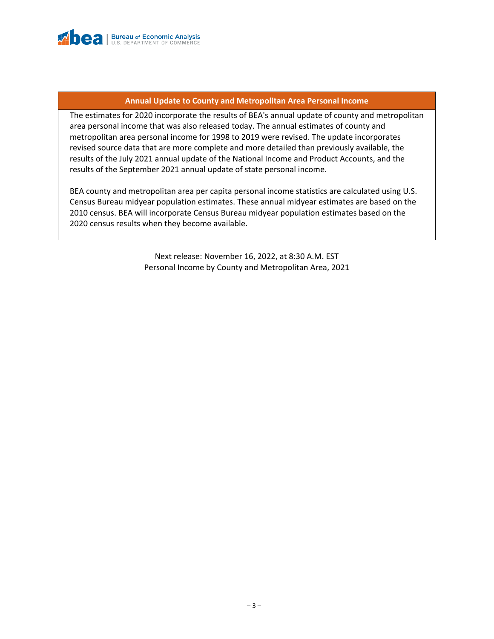

### **Annual Update to County and Metropolitan Area Personal Income**

The estimates for 2020 incorporate the results of BEA's annual update of county and metropolitan area personal income that was also released today. The annual estimates of county and metropolitan area personal income for 1998 to 2019 were revised. The update incorporates revised source data that are more complete and more detailed than previously available, the results of the July 2021 annual update of the National Income and Product Accounts, and the results of the September 2021 annual update of state personal income.

BEA county and metropolitan area per capita personal income statistics are calculated using U.S. Census Bureau midyear population estimates. These annual midyear estimates are based on the 2010 census. BEA will incorporate Census Bureau midyear population estimates based on the 2020 census results when they become available.

> Next release: November 16, 2022, at 8:30 A.M. EST Personal Income by County and Metropolitan Area, 2021